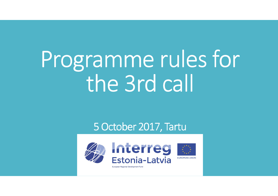# Programme rules for the 3rd call

### 5 October 2017, Tartu

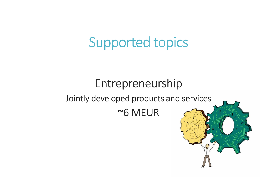## Supported topics

### Entrepreneurship

### Jointly developed products and services

~6 MEUR

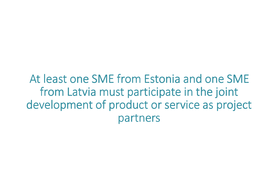At least one SME from Estonia and one SME from Latvia must participate in the joint development of product or service as project partners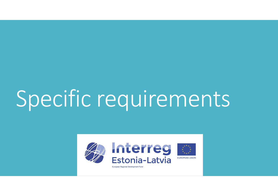# Specific requirements

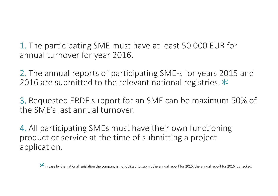1. The participating SME must have at least 50 000 EUR for annual turnover for year 2016.

2. The annual reports of participating SME-s for years 2015 and 2016 are submitted to the relevant national registries.  $*$ 

3. Requested ERDF support for an SME can be maximum 50% of the SME's last annual turnover.

4. All participating SMEs must have their own functioning product or service at the time of submitting a project application.

In case by the national legislation the company is not obliged to submit the annual report for 2015, the annual report for 2016 is checked.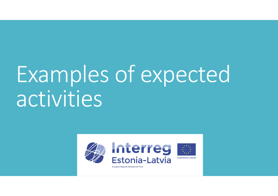# Examples of expectedactivities

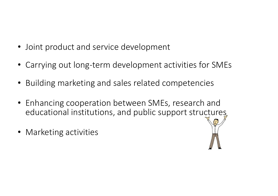- Joint product and service development
- Carrying out long-term development activities for SMEs
- Building marketing and sales related competencies
- Enhancing cooperation between SMEs, research and educational institutions, and public support structures
- Marketing activities

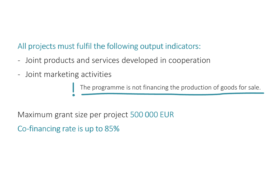### All projects must fulfil the following output indicators:

- Joint products and services developed in cooperation
- Joint marketing activities

The programme is not financing the production of goods for sale.

Maximum grant size per project 500 000 EUR

Co-financing rate is up to 85%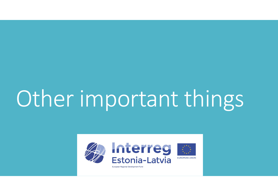# Other important things

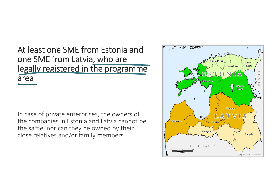### At least one SME from Estonia and one SME from Latvia, who are legally registered in the programme area

In case of private enterprises, the owners of the companies in Estonia and Latvia cannot be the same, nor can they be owned by their close relatives and/or family members.

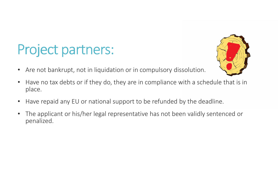## Project partners:

- 
- $\bullet$ Are not bankrupt, not in liquidation or in compulsory dissolution.
- $\bullet$  Have no tax debts or if they do, they are in compliance with a schedule that is in place.
- $\bullet$ Have repaid any EU or national support to be refunded by the deadline.
- $\bullet$  The applicant or his/her legal representative has not been validly sentenced or penalized.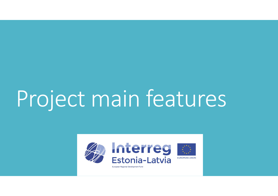# Project main features

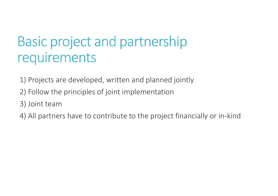## Basic project and partnership requirements

1) Projects are developed, written and planned jointly

- 2) Follow the principles of joint implementation
- 3) Joint team
- 4) All partners have to contribute to the project financially or in-kind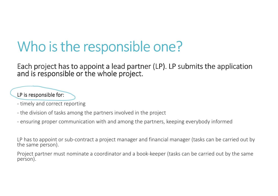## Who is the responsible one?

Each project has to appoint a lead partner (LP). LP submits the application submits the application and is responsible or the whole project.

#### $LP$  is responsible for:

- timely and correct reporting
- the division of tasks among the partners involved in the project
- ensuring proper communication with and among the partners, keeping everybody informed

LP has to appoint or sub-contract a project manager and financial manager (tasks can be carried out by<br>the same naman) the same person).

Project partner must nominate a coordinator and a book-keeper (tasks can be carried out by the same person).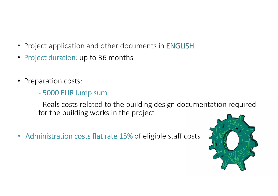- Project application and other documents in ENGLISH
- Project duration: up to 36 months
- Preparation costs:
	- 5000 EUR lump sum

- Reals costs related to the building design documentation requiredfor the building works in the project

 $\bullet$ • Administration costs flat rate 15% of eligible staff costs

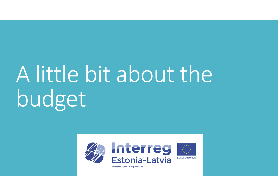# A little bit about the budget

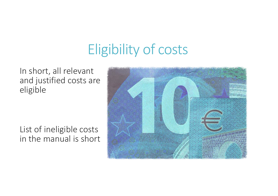## Eligibility of costs

In short, all relevant and justified costs are eligible

List of ineligible costs in the manual is short

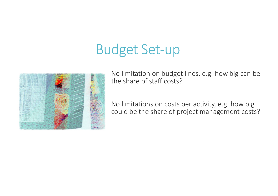## Budget Set-up



No limitation on budget lines, e.g. how big can be the share of staff costs?

No limitations on costs per activity, e.g. how big could be the share of project management costs?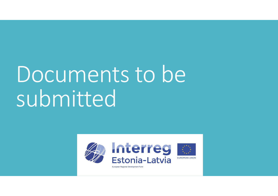## Documents to be submitted

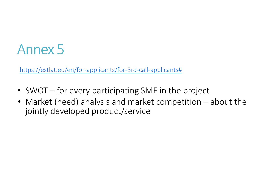## Annex 5

https://estlat.eu/en/for-applicants/for-3rd-call-applicants#

- SWOT for every participating SME in the project
- Market (need) analysis and market competition about the jointly developed product/service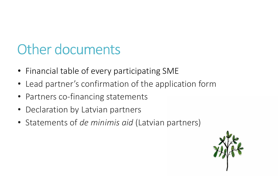## Other documents

- Financial table of every participating SME
- Lead partner's confirmation of the application form
- Partners co-financing statements
- $\bullet$ Declaration by Latvian partners
- Statements of de minimis aid (Latvian partners)

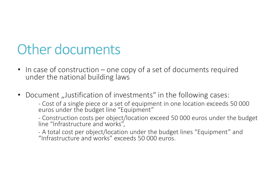## Other documents

- In case of construction one copy of a set of documents required under the national building laws
- •Document "Justification of investments" in the following cases:

-Cost of a single piece or a set of equipment in one location exceeds 50 000 euros under the budget line "Equipment"

-Construction costs per object/location exceed 50 000 euros under the budget line "Infrastructure and works",

-A total cost per object/location under the budget lines "Equipment" and "Infrastructure and works" exceeds 50 000 euros.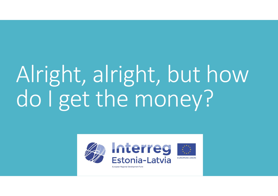# Alright, alright, but how do I get the money?

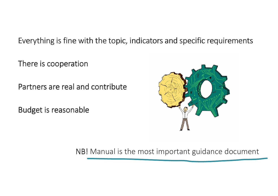### Everything is fine with the topic, indicators and specific requirements

There is cooperation

Partners are real and contribute

Budget is reasonable



NB! Manual is the most important guidance document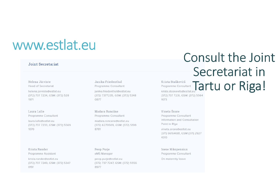### www.estlat.eu

#### Joint Secretariat

Helena Järviste **Head of Secretariat** 

helena.jarviste@estlat.eu (372) 737 7234, GSM: (372) 528 1971

Laura Lulle Programme Consultant laura.lulle@estlat.eu (372) 737 7233, GSM: (372) 5569 1070

Krista Rander Programme Assistant

krista.rander@estlat.eu (372) 737 7249, GSM: (372) 5347 0191

Janika Friedenthal Programme Consultant janika.friedenthal@estlat.eu (372) 7377235, GSM: (372) 5348 0877

Madara Rancāne Programme Consultant madara.rancane@estlat.eu (372) 6279509, GSM: (372) 5199 8781

Peep Purje eMS Manager peep.purje@estlat.eu

(372) 737 7247, GSM: (372) 5556 8977

### Consult the Joint Secretariat in

Krista Staškevitš Tartu or Riga! 1673

Vineta Šnore Programme Consultant Information and Consultation Point in Rīga

vineta.snore@estlat.eu (371) 66164681, GSM (371) 2927 4310

**Inese Nikopensius** Programme Consultant On maternity leave